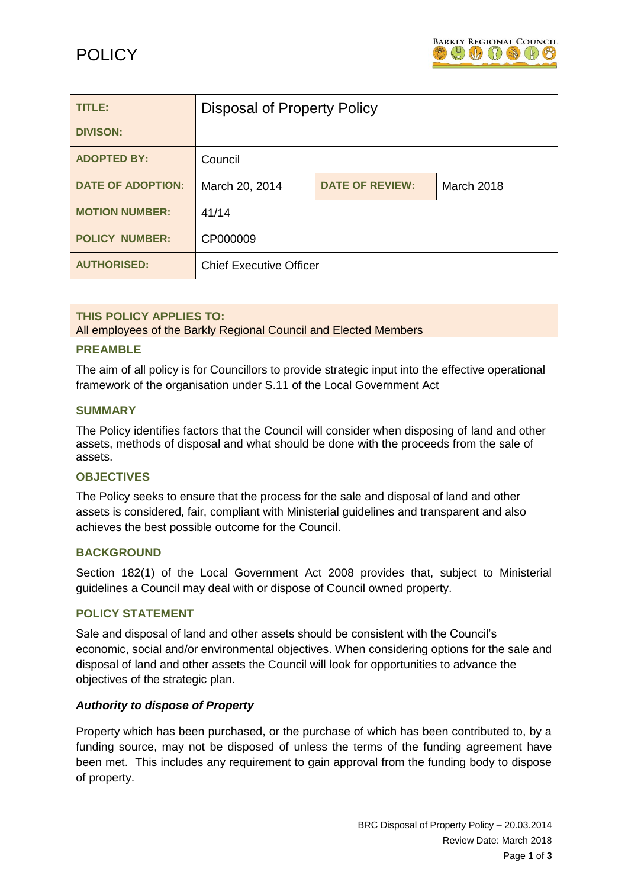

| TITLE:                   | <b>Disposal of Property Policy</b> |                        |                   |
|--------------------------|------------------------------------|------------------------|-------------------|
| <b>DIVISON:</b>          |                                    |                        |                   |
| <b>ADOPTED BY:</b>       | Council                            |                        |                   |
| <b>DATE OF ADOPTION:</b> | March 20, 2014                     | <b>DATE OF REVIEW:</b> | <b>March 2018</b> |
| <b>MOTION NUMBER:</b>    | 41/14                              |                        |                   |
| <b>POLICY NUMBER:</b>    | CP000009                           |                        |                   |
| <b>AUTHORISED:</b>       | <b>Chief Executive Officer</b>     |                        |                   |

## **THIS POLICY APPLIES TO:**

All employees of the Barkly Regional Council and Elected Members

### **PREAMBLE**

The aim of all policy is for Councillors to provide strategic input into the effective operational framework of the organisation under S.11 of the Local Government Act

### **SUMMARY**

The Policy identifies factors that the Council will consider when disposing of land and other assets, methods of disposal and what should be done with the proceeds from the sale of assets.

#### **OBJECTIVES**

The Policy seeks to ensure that the process for the sale and disposal of land and other assets is considered, fair, compliant with Ministerial guidelines and transparent and also achieves the best possible outcome for the Council.

#### **BACKGROUND**

Section 182(1) of the Local Government Act 2008 provides that, subject to Ministerial guidelines a Council may deal with or dispose of Council owned property.

#### **POLICY STATEMENT**

Sale and disposal of land and other assets should be consistent with the Council's economic, social and/or environmental objectives. When considering options for the sale and disposal of land and other assets the Council will look for opportunities to advance the objectives of the strategic plan.

## *Authority to dispose of Property*

Property which has been purchased, or the purchase of which has been contributed to, by a funding source, may not be disposed of unless the terms of the funding agreement have been met. This includes any requirement to gain approval from the funding body to dispose of property.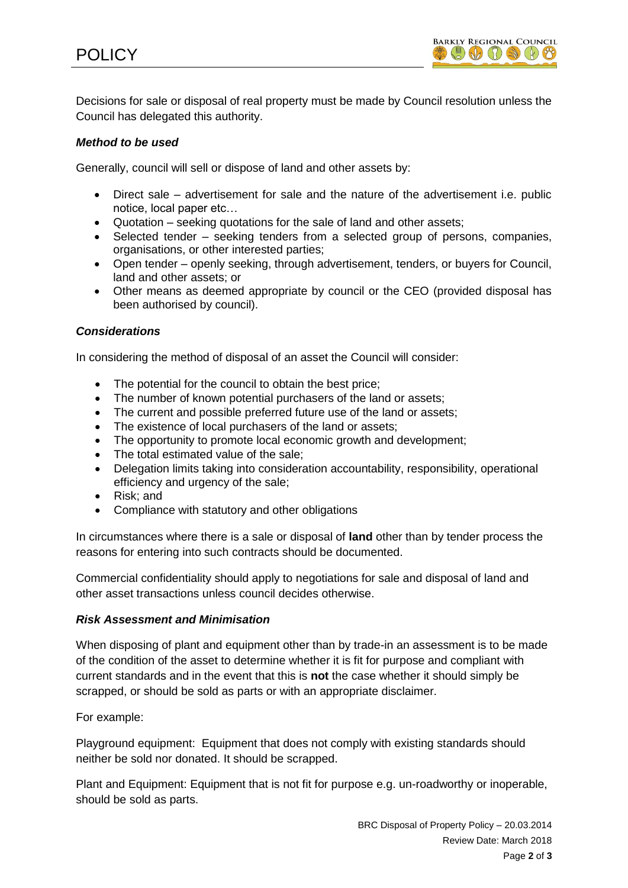

Decisions for sale or disposal of real property must be made by Council resolution unless the Council has delegated this authority.

## *Method to be used*

Generally, council will sell or dispose of land and other assets by:

- Direct sale advertisement for sale and the nature of the advertisement i.e. public notice, local paper etc…
- Quotation seeking quotations for the sale of land and other assets;
- Selected tender seeking tenders from a selected group of persons, companies, organisations, or other interested parties;
- Open tender openly seeking, through advertisement, tenders, or buyers for Council, land and other assets; or
- Other means as deemed appropriate by council or the CEO (provided disposal has been authorised by council).

### *Considerations*

In considering the method of disposal of an asset the Council will consider:

- The potential for the council to obtain the best price;
- The number of known potential purchasers of the land or assets;
- The current and possible preferred future use of the land or assets:
- The existence of local purchasers of the land or assets;
- The opportunity to promote local economic growth and development;
- The total estimated value of the sale;
- Delegation limits taking into consideration accountability, responsibility, operational efficiency and urgency of the sale;
- Risk: and
- Compliance with statutory and other obligations

In circumstances where there is a sale or disposal of **land** other than by tender process the reasons for entering into such contracts should be documented.

Commercial confidentiality should apply to negotiations for sale and disposal of land and other asset transactions unless council decides otherwise.

#### *Risk Assessment and Minimisation*

When disposing of plant and equipment other than by trade-in an assessment is to be made of the condition of the asset to determine whether it is fit for purpose and compliant with current standards and in the event that this is **not** the case whether it should simply be scrapped, or should be sold as parts or with an appropriate disclaimer.

For example:

Playground equipment: Equipment that does not comply with existing standards should neither be sold nor donated. It should be scrapped.

Plant and Equipment: Equipment that is not fit for purpose e.g. un-roadworthy or inoperable, should be sold as parts.